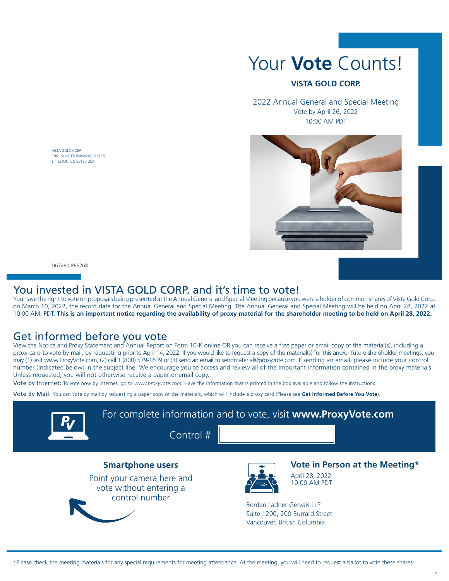VISTA GOLD CORP. 7961 SHAFFER PARKWAY, SUITE 5 LITTLETON, CO 80127 USA

# Your **Vote** Counts!

#### **VISTA GOLD CORP.**

2022 Annual General and Special Meeting Vote by April 26, 2022 10:00 AM PDT



D67280-P66268

#### You invested in VISTA GOLD CORP. and it's time to vote!

You have the right to vote on proposals being presented at the Annual General and Special Meeting because you were a holder of common shares of Vista Gold Corp. on March 10, 2022, the record date for the Annual General and Special Meeting. The Annual General and Special Meeting will be held on April 28, 2022 at 10:00 AM, PDT. **This is an important notice regarding the availability of proxy material for the shareholder meeting to be held on April 28, 2022.**

### Get informed before you vote

View the Notice and Proxy Statement and Annual Report on Form 10-K online OR you can receive a free paper or email copy of the material(s), including a proxy card to vote by mail, by requesting prior to April 14, 2022. If you would like to request a copy of the material(s) for this and/or future shareholder meetings, you may (1) visit www.ProxyVote.com, (2) call 1 (800) 579-1639 or (3) send an email to sendmaterial@proxyvote.com. If sending an email, please include your control number (indicated below) in the subject line. We encourage you to access and review all of the important information contained in the proxy materials. Unless requested, you will not otherwise receive a paper or email copy.

Vote by Internet: To vote now by Internet, go to www.proxyvote.com. Have the information that is printed in the box available and follow the instructions.

Vote By Mail: You can vote by mail by requesting a paper copy of the materials, which will include a proxy card (Please see **Get Informed Before You Vote**).